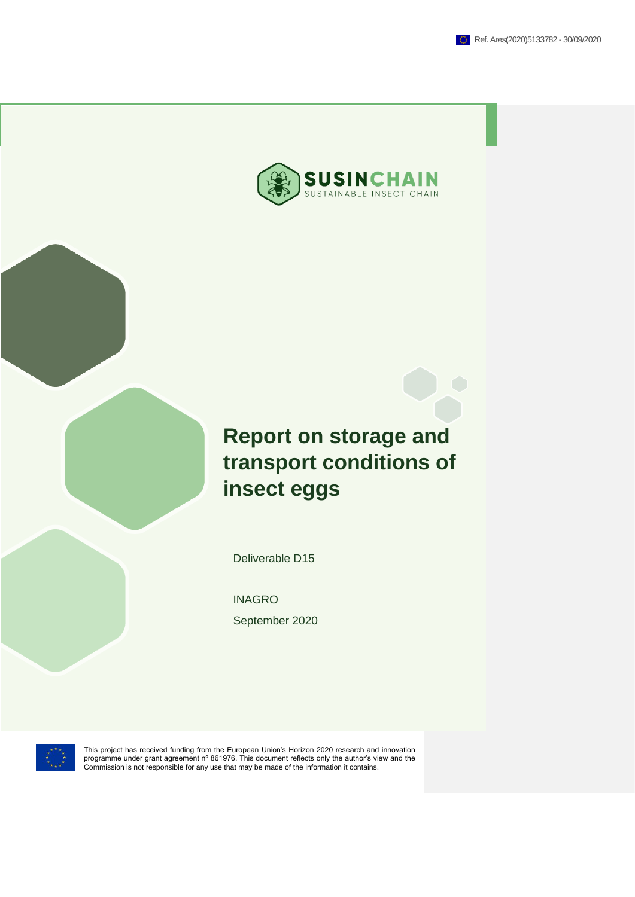

# **Report on storage and transport conditions of insect eggs**

Deliverable D15

INAGRO September 2020



This project has received funding from the European Union's Horizon 2020 research and innovation<br>programme under grant agreement nº 861976. This document reflects only the author's view and the<br>Commission is not responsibl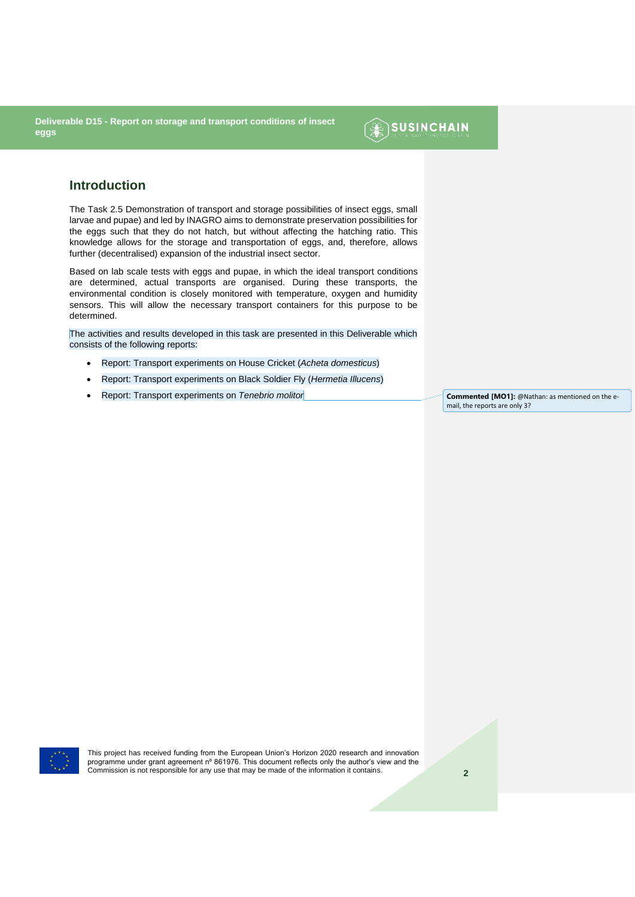

#### **Introduction**

The Task 2.5 Demonstration of transport and storage possibilities of insect eggs, small larvae and pupae) and led by INAGRO aims to demonstrate preservation possibilities for the eggs such that they do not hatch, but without affecting the hatching ratio. This knowledge allows for the storage and transportation of eggs, and, therefore, allows further (decentralised) expansion of the industrial insect sector.

Based on lab scale tests with eggs and pupae, in which the ideal transport conditions are determined, actual transports are organised. During these transports, the environmental condition is closely monitored with temperature, oxygen and humidity sensors. This will allow the necessary transport containers for this purpose to be determined.

The activities and results developed in this task are presented in this Deliverable which consists of the following reports:

- Report: Transport experiments on House Cricket (*Acheta domesticus*)
- Report: Transport experiments on Black Soldier Fly (*Hermetia Illucens*)
- **Feport: Transport experiments on** *Tenebrio molitor* **<b>Commented [MO1]:** @Nathan: as mentioned on the e-

mail, the reports are only 3?

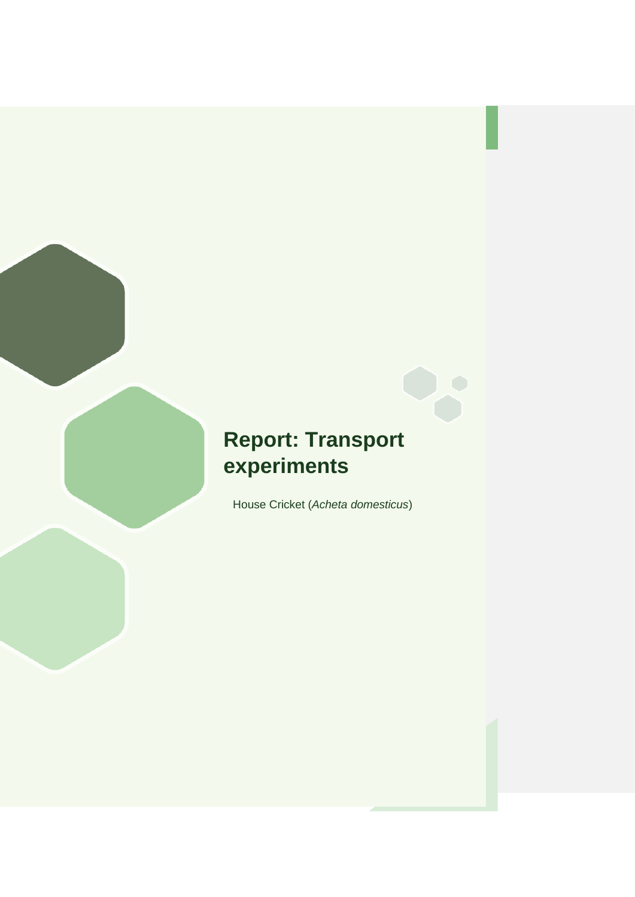## **Report: Transport experiments**

House Cricket (*Acheta domesticus*)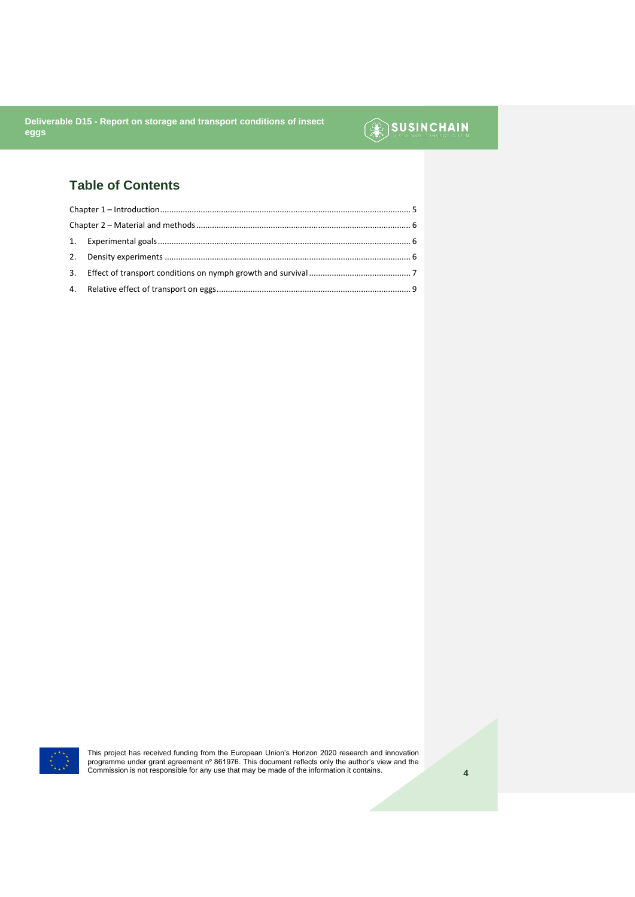## SUSINCHAIN

### **Table of Contents**



This project has received funding from the European Union's Horizon 2020 research and innovation<br>programme under grant agreement nº 861976. This document reflects only the author's view and the<br>Commission is not responsibl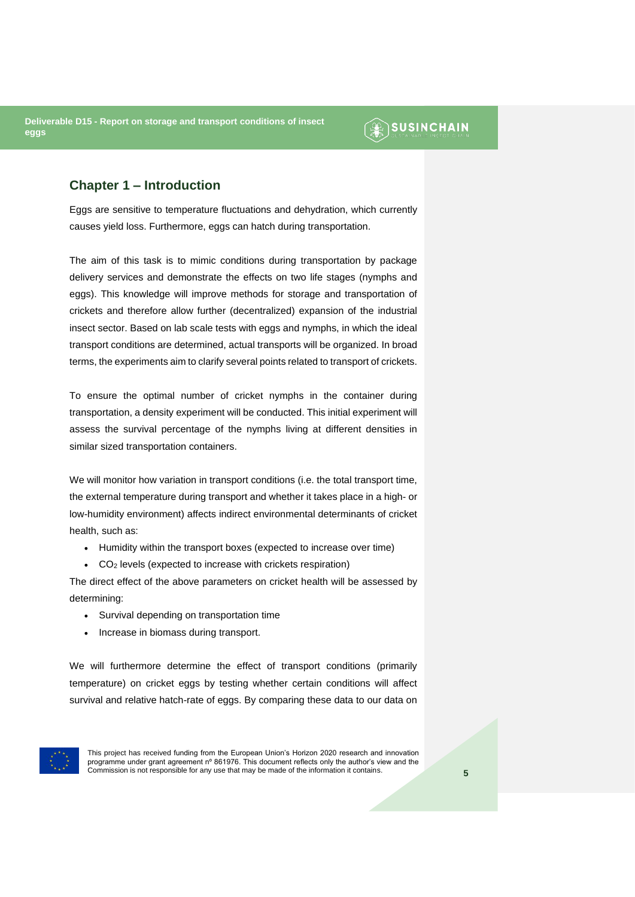### SUSINCHAIN

#### <span id="page-4-0"></span>**Chapter 1 – Introduction**

Eggs are sensitive to temperature fluctuations and dehydration, which currently causes yield loss. Furthermore, eggs can hatch during transportation.

The aim of this task is to mimic conditions during transportation by package delivery services and demonstrate the effects on two life stages (nymphs and eggs). This knowledge will improve methods for storage and transportation of crickets and therefore allow further (decentralized) expansion of the industrial insect sector. Based on lab scale tests with eggs and nymphs, in which the ideal transport conditions are determined, actual transports will be organized. In broad terms, the experiments aim to clarify several points related to transport of crickets.

To ensure the optimal number of cricket nymphs in the container during transportation, a density experiment will be conducted. This initial experiment will assess the survival percentage of the nymphs living at different densities in similar sized transportation containers.

We will monitor how variation in transport conditions (i.e. the total transport time, the external temperature during transport and whether it takes place in a high- or low-humidity environment) affects indirect environmental determinants of cricket health, such as:

- Humidity within the transport boxes (expected to increase over time)
- CO<sup>2</sup> levels (expected to increase with crickets respiration)

The direct effect of the above parameters on cricket health will be assessed by determining:

- Survival depending on transportation time
- Increase in biomass during transport.

We will furthermore determine the effect of transport conditions (primarily temperature) on cricket eggs by testing whether certain conditions will affect survival and relative hatch-rate of eggs. By comparing these data to our data on

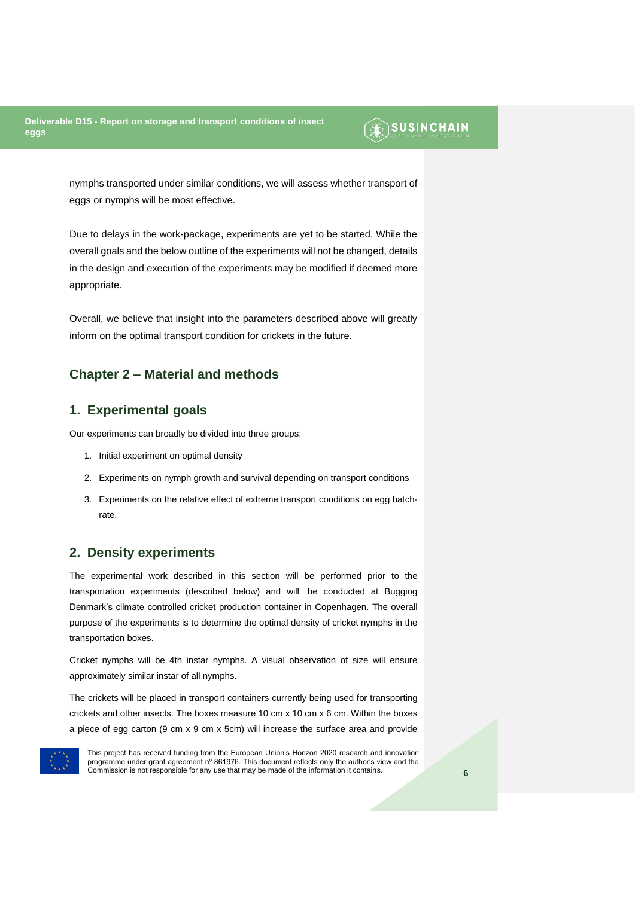### **SUSINCHAIN**

nymphs transported under similar conditions, we will assess whether transport of eggs or nymphs will be most effective.

Due to delays in the work-package, experiments are yet to be started. While the overall goals and the below outline of the experiments will not be changed, details in the design and execution of the experiments may be modified if deemed more appropriate.

Overall, we believe that insight into the parameters described above will greatly inform on the optimal transport condition for crickets in the future.

#### <span id="page-5-0"></span>**Chapter 2 – Material and methods**

#### <span id="page-5-1"></span>**1. Experimental goals**

Our experiments can broadly be divided into three groups:

- 1. Initial experiment on optimal density
- 2. Experiments on nymph growth and survival depending on transport conditions
- 3. Experiments on the relative effect of extreme transport conditions on egg hatchrate.

#### <span id="page-5-2"></span>**2. Density experiments**

The experimental work described in this section will be performed prior to the transportation experiments (described below) and will be conducted at Bugging Denmark's climate controlled cricket production container in Copenhagen. The overall purpose of the experiments is to determine the optimal density of cricket nymphs in the transportation boxes.

Cricket nymphs will be 4th instar nymphs. A visual observation of size will ensure approximately similar instar of all nymphs.

The crickets will be placed in transport containers currently being used for transporting crickets and other insects. The boxes measure 10 cm x 10 cm x 6 cm. Within the boxes a piece of egg carton (9 cm x 9 cm x 5cm) will increase the surface area and provide

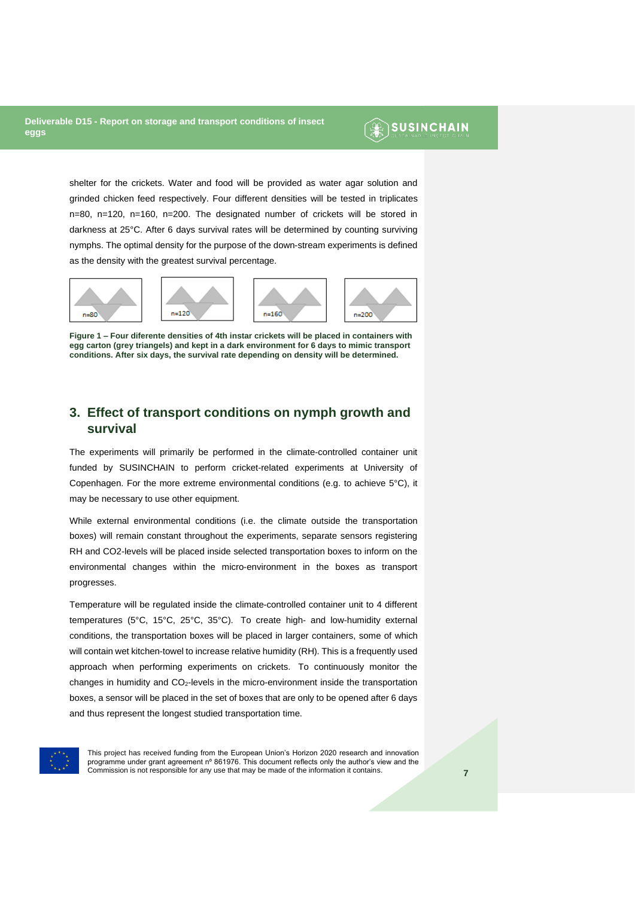### **SUSINCHAIN**

shelter for the crickets. Water and food will be provided as water agar solution and grinded chicken feed respectively. Four different densities will be tested in triplicates n=80, n=120, n=160, n=200. The designated number of crickets will be stored in darkness at 25°C. After 6 days survival rates will be determined by counting surviving nymphs. The optimal density for the purpose of the down-stream experiments is defined as the density with the greatest survival percentage.



**Figure 1 – Four diferente densities of 4th instar crickets will be placed in containers with egg carton (grey triangels) and kept in a dark environment for 6 days to mimic transport conditions. After six days, the survival rate depending on density will be determined.**

#### <span id="page-6-0"></span>**3. Effect of transport conditions on nymph growth and survival**

The experiments will primarily be performed in the climate-controlled container unit funded by SUSINCHAIN to perform cricket-related experiments at University of Copenhagen. For the more extreme environmental conditions (e.g. to achieve 5°C), it may be necessary to use other equipment.

While external environmental conditions (i.e. the climate outside the transportation boxes) will remain constant throughout the experiments, separate sensors registering RH and CO2-levels will be placed inside selected transportation boxes to inform on the environmental changes within the micro-environment in the boxes as transport progresses.

Temperature will be regulated inside the climate-controlled container unit to 4 different temperatures (5°C, 15°C, 25°C, 35°C). To create high- and low-humidity external conditions, the transportation boxes will be placed in larger containers, some of which will contain wet kitchen-towel to increase relative humidity (RH). This is a frequently used approach when performing experiments on crickets. To continuously monitor the changes in humidity and  $CO<sub>2</sub>$ -levels in the micro-environment inside the transportation boxes, a sensor will be placed in the set of boxes that are only to be opened after 6 days and thus represent the longest studied transportation time.

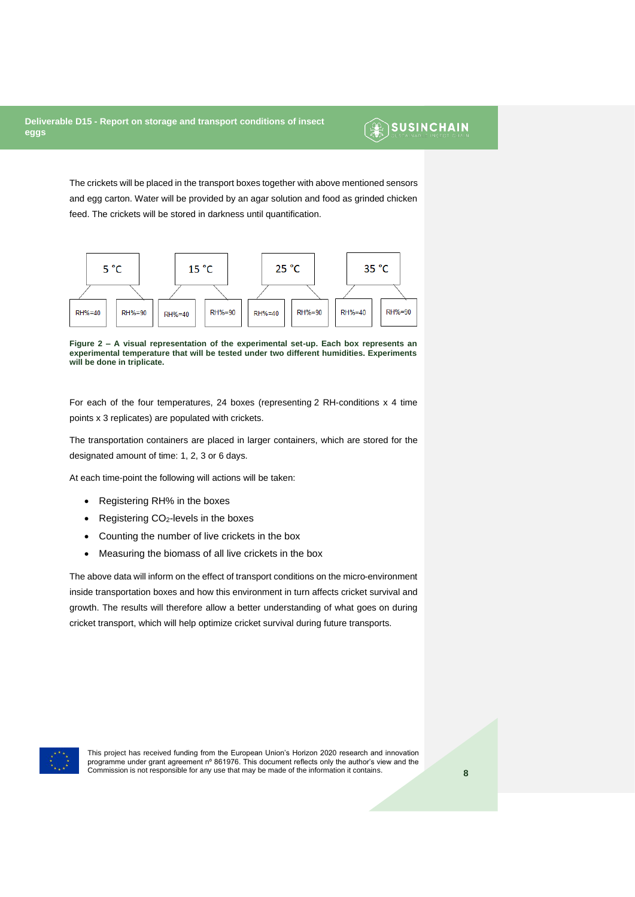### **SUSINCHAIN**

The crickets will be placed in the transport boxes together with above mentioned sensors and egg carton. Water will be provided by an agar solution and food as grinded chicken feed. The crickets will be stored in darkness until quantification.



**Figure 2 – A visual representation of the experimental set-up. Each box represents an experimental temperature that will be tested under two different humidities. Experiments will be done in triplicate.** 

For each of the four temperatures, 24 boxes (representing 2 RH-conditions x 4 time points x 3 replicates) are populated with crickets.

The transportation containers are placed in larger containers, which are stored for the designated amount of time: 1, 2, 3 or 6 days.

At each time-point the following will actions will be taken:

- Registering RH% in the boxes
- Registering CO<sub>2</sub>-levels in the boxes
- Counting the number of live crickets in the box
- Measuring the biomass of all live crickets in the box

The above data will inform on the effect of transport conditions on the micro-environment inside transportation boxes and how this environment in turn affects cricket survival and growth. The results will therefore allow a better understanding of what goes on during cricket transport, which will help optimize cricket survival during future transports.

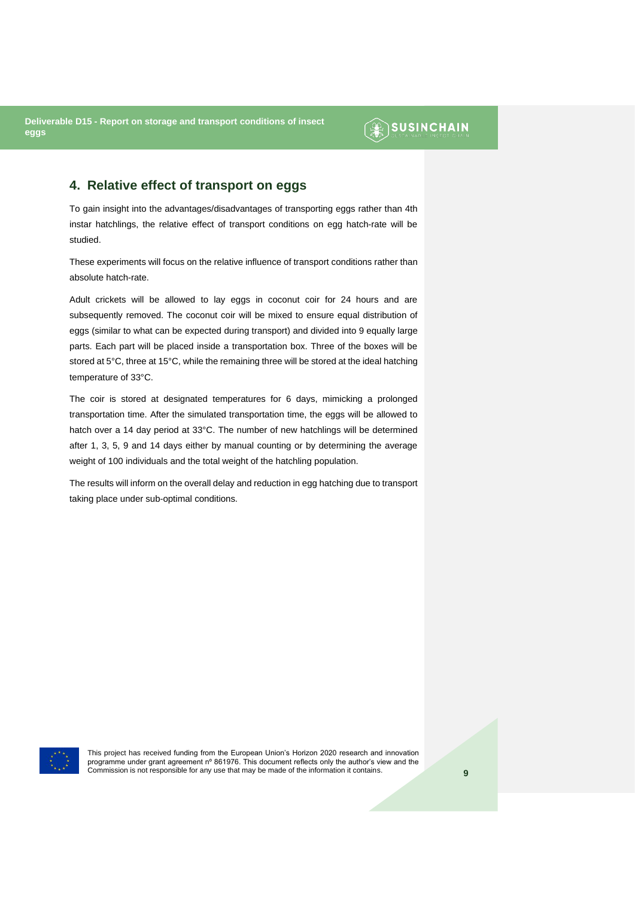### $\circledR$  SUSINCHAIN

#### <span id="page-8-0"></span>**4. Relative effect of transport on eggs**

To gain insight into the advantages/disadvantages of transporting eggs rather than 4th instar hatchlings, the relative effect of transport conditions on egg hatch-rate will be studied.

These experiments will focus on the relative influence of transport conditions rather than absolute hatch-rate.

Adult crickets will be allowed to lay eggs in coconut coir for 24 hours and are subsequently removed. The coconut coir will be mixed to ensure equal distribution of eggs (similar to what can be expected during transport) and divided into 9 equally large parts. Each part will be placed inside a transportation box. Three of the boxes will be stored at 5°C, three at 15°C, while the remaining three will be stored at the ideal hatching temperature of 33°C.

The coir is stored at designated temperatures for 6 days, mimicking a prolonged transportation time. After the simulated transportation time, the eggs will be allowed to hatch over a 14 day period at 33°C. The number of new hatchlings will be determined after 1, 3, 5, 9 and 14 days either by manual counting or by determining the average weight of 100 individuals and the total weight of the hatchling population.

The results will inform on the overall delay and reduction in egg hatching due to transport taking place under sub-optimal conditions.

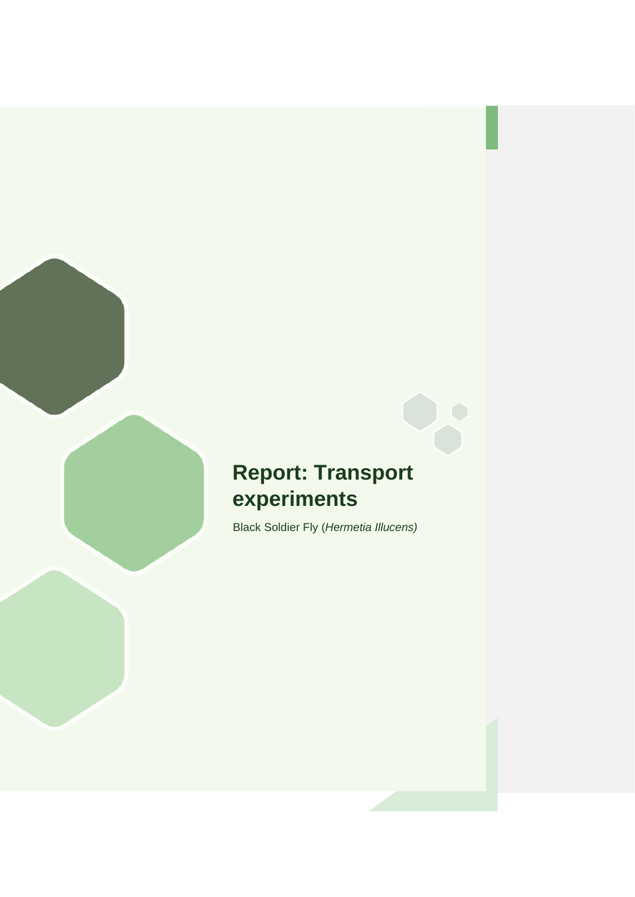## **Report: Transport experiments**

Black Soldier Fly (*Hermetia Illucens)*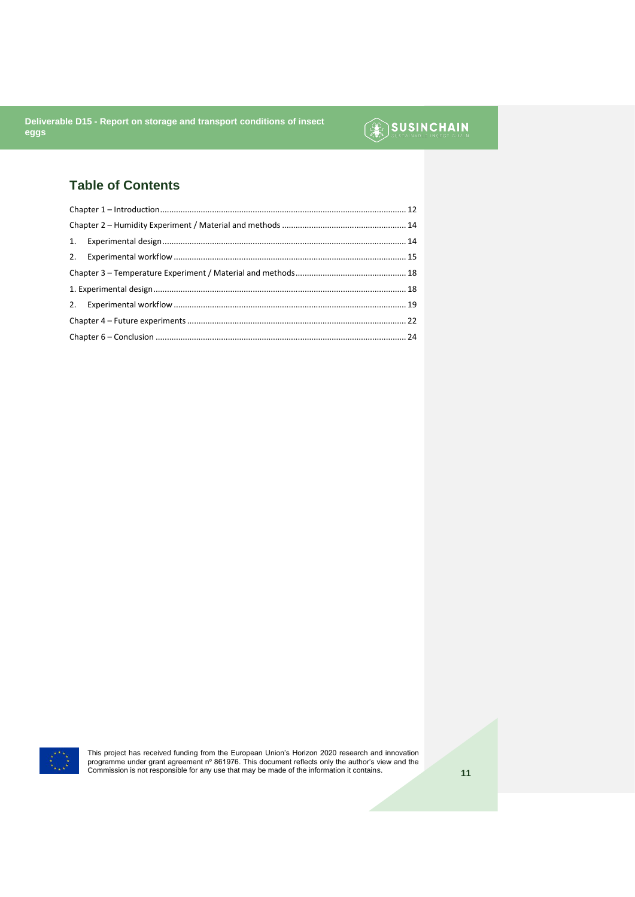## SUSINCHAIN

### **Table of Contents**



This project has received funding from the European Union's Horizon 2020 research and innovation<br>programme under grant agreement n° 861976. This document reflects only the author's view and the<br>Commission is not responsib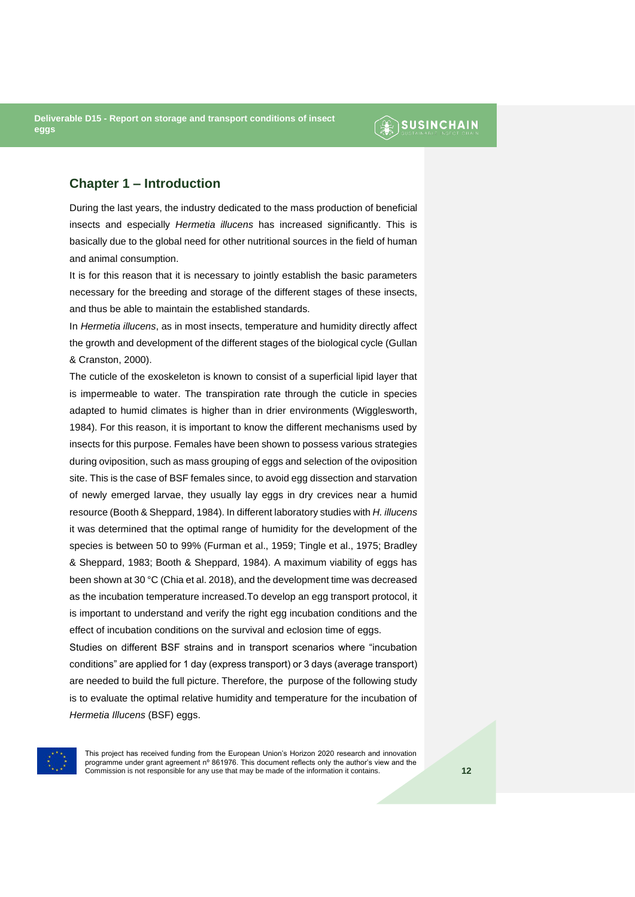### **AN SUSINCHAIN**

#### <span id="page-11-0"></span>**Chapter 1 – Introduction**

During the last years, the industry dedicated to the mass production of beneficial insects and especially *Hermetia illucens* has increased significantly. This is basically due to the global need for other nutritional sources in the field of human and animal consumption.

It is for this reason that it is necessary to jointly establish the basic parameters necessary for the breeding and storage of the different stages of these insects, and thus be able to maintain the established standards.

In *Hermetia illucens*, as in most insects, temperature and humidity directly affect the growth and development of the different stages of the biological cycle (Gullan & Cranston, 2000).

The cuticle of the exoskeleton is known to consist of a superficial lipid layer that is impermeable to water. The transpiration rate through the cuticle in species adapted to humid climates is higher than in drier environments (Wigglesworth, 1984). For this reason, it is important to know the different mechanisms used by insects for this purpose. Females have been shown to possess various strategies during oviposition, such as mass grouping of eggs and selection of the oviposition site. This is the case of BSF females since, to avoid egg dissection and starvation of newly emerged larvae, they usually lay eggs in dry crevices near a humid resource (Booth & Sheppard, 1984). In different laboratory studies with *H. illucens* it was determined that the optimal range of humidity for the development of the species is between 50 to 99% (Furman et al., 1959; Tingle et al., 1975; Bradley & Sheppard, 1983; Booth & Sheppard, 1984). A maximum viability of eggs has been shown at 30 °C (Chia et al. 2018), and the development time was decreased as the incubation temperature increased.To develop an egg transport protocol, it is important to understand and verify the right egg incubation conditions and the effect of incubation conditions on the survival and eclosion time of eggs.

Studies on different BSF strains and in transport scenarios where "incubation conditions" are applied for 1 day (express transport) or 3 days (average transport) are needed to build the full picture. Therefore, the purpose of the following study is to evaluate the optimal relative humidity and temperature for the incubation of *Hermetia Illucens* (BSF) eggs.

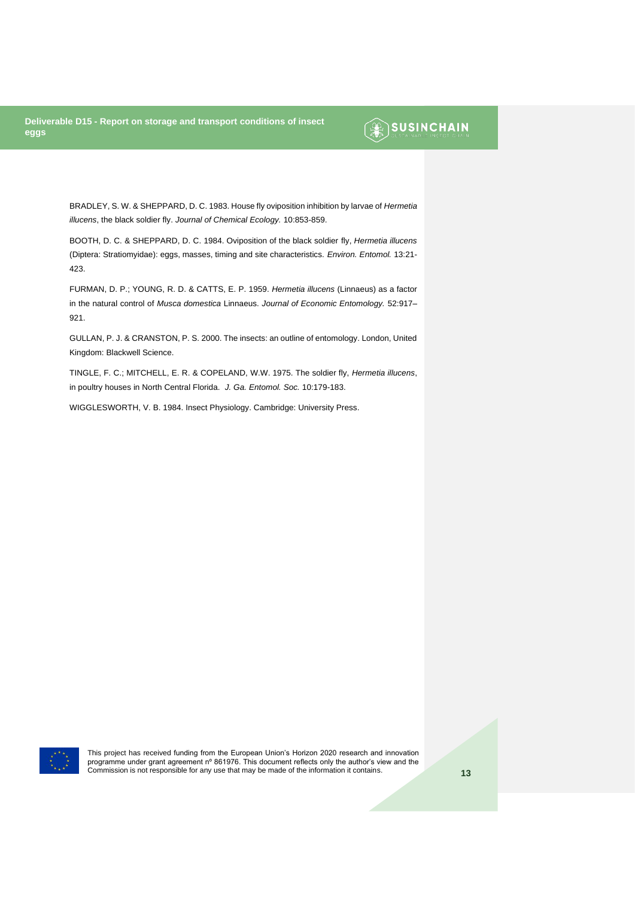### SUSINCHAIN

BRADLEY, S. W. & SHEPPARD, D. C. 1983. House fly oviposition inhibition by larvae of *Hermetia illucens*, the black soldier fly. *Journal of Chemical Ecology.* 10:853-859.

BOOTH, D. C. & SHEPPARD, D. C. 1984. Oviposition of the black soldier fly, *Hermetia illucens* (Diptera: Stratiomyidae): eggs, masses, timing and site characteristics. *Environ. Entomol.* 13:21- 423.

FURMAN, D. P.; YOUNG, R. D. & CATTS, E. P. 1959. *Hermetia illucens* (Linnaeus) as a factor in the natural control of *Musca domestica* Linnaeus. *Journal of Economic Entomology.* 52:917– 921.

GULLAN, P. J. & CRANSTON, P. S. 2000. The insects: an outline of entomology. London, United Kingdom: Blackwell Science.

TINGLE, F. C.; MITCHELL, E. R. & COPELAND, W.W. 1975. The soldier fly, *Hermetia illucens*, in poultry houses in North Central Florida. *J. Ga. Entomol. Soc.* 10:179-183.

WIGGLESWORTH, V. B. 1984. Insect Physiology. Cambridge: University Press.

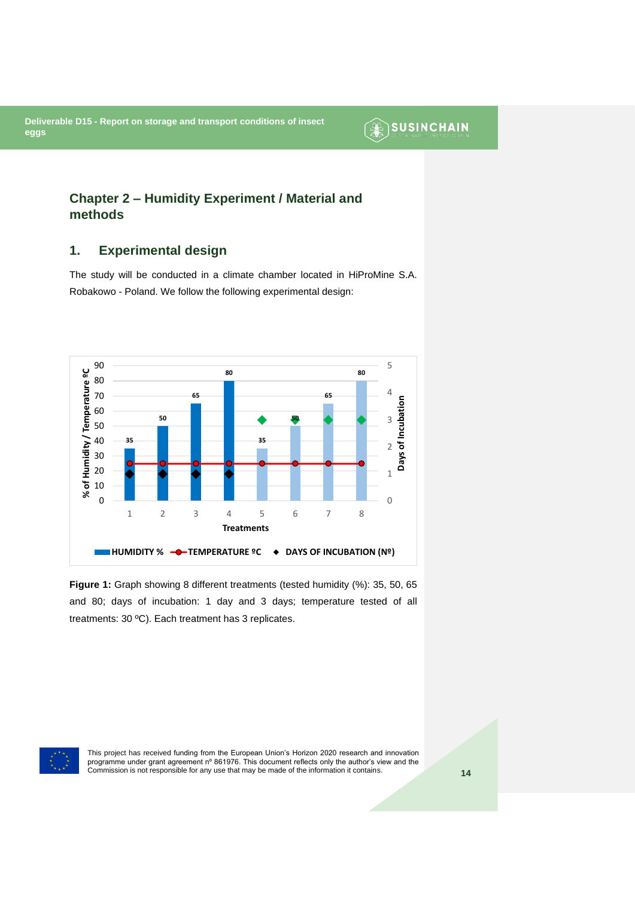## <span id="page-13-0"></span>**Chapter 2 – Humidity Experiment / Material and methods**

#### <span id="page-13-1"></span>**1. Experimental design**

The study will be conducted in a climate chamber located in HiProMine S.A. Robakowo - Poland. We follow the following experimental design:



**Figure 1:** Graph showing 8 different treatments (tested humidity (%): 35, 50, 65 and 80; days of incubation: 1 day and 3 days; temperature tested of all treatments: 30 ºC). Each treatment has 3 replicates.



This project has received funding from the European Union's Horizon 2020 research and innovation programme under grant agreement nº 861976. This document reflects only the author's view and the Commission is not responsible for any use that may be made of the information it contains. **14**

**SUSINCHAIN**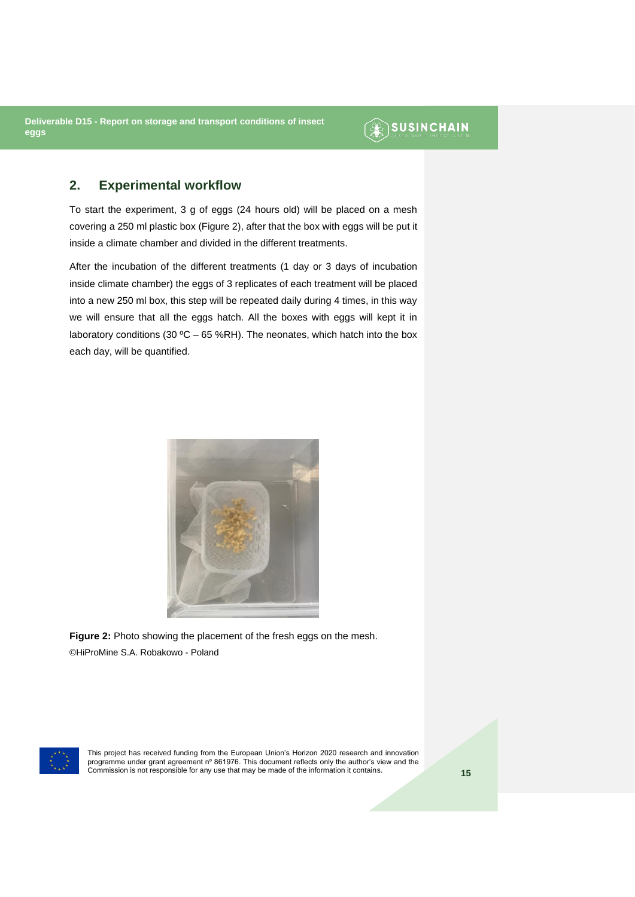### **SUSINCHAIN**

#### <span id="page-14-0"></span>**2. Experimental workflow**

To start the experiment, 3 g of eggs (24 hours old) will be placed on a mesh covering a 250 ml plastic box (Figure 2), after that the box with eggs will be put it inside a climate chamber and divided in the different treatments.

After the incubation of the different treatments (1 day or 3 days of incubation inside climate chamber) the eggs of 3 replicates of each treatment will be placed into a new 250 ml box, this step will be repeated daily during 4 times, in this way we will ensure that all the eggs hatch. All the boxes with eggs will kept it in laboratory conditions (30 °C – 65 %RH). The neonates, which hatch into the box each day, will be quantified.



**Figure 2:** Photo showing the placement of the fresh eggs on the mesh. ©HiProMine S.A. Robakowo - Poland

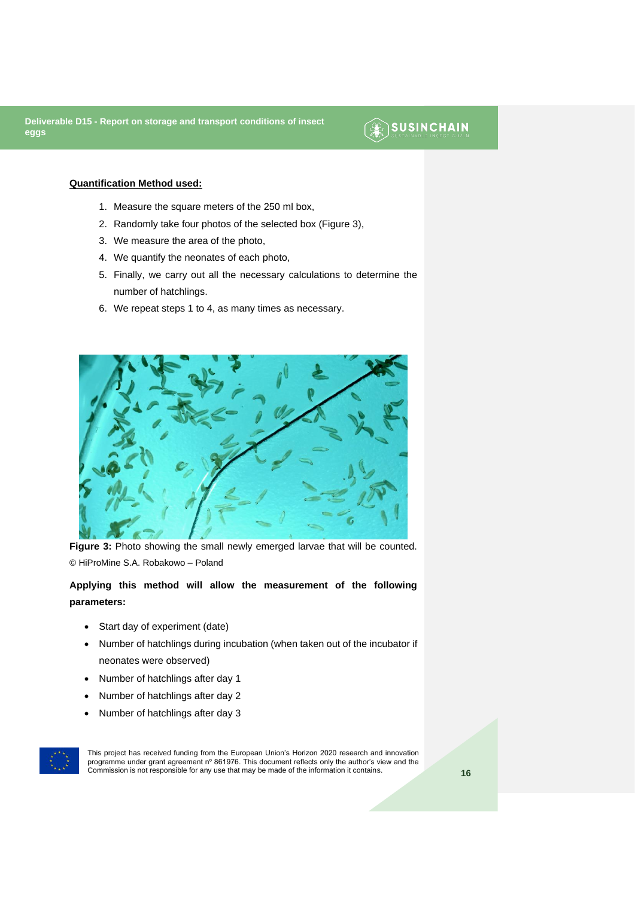### **SUSINCHAIN**

#### **Quantification Method used:**

- 1. Measure the square meters of the 250 ml box,
- 2. Randomly take four photos of the selected box (Figure 3),
- 3. We measure the area of the photo,
- 4. We quantify the neonates of each photo,
- 5. Finally, we carry out all the necessary calculations to determine the number of hatchlings.
- 6. We repeat steps 1 to 4, as many times as necessary.



Figure 3: Photo showing the small newly emerged larvae that will be counted. © HiProMine S.A. Robakowo – Poland

**Applying this method will allow the measurement of the following parameters:** 

- Start day of experiment (date)
- Number of hatchlings during incubation (when taken out of the incubator if neonates were observed)
- Number of hatchlings after day 1
- Number of hatchlings after day 2
- Number of hatchlings after day 3

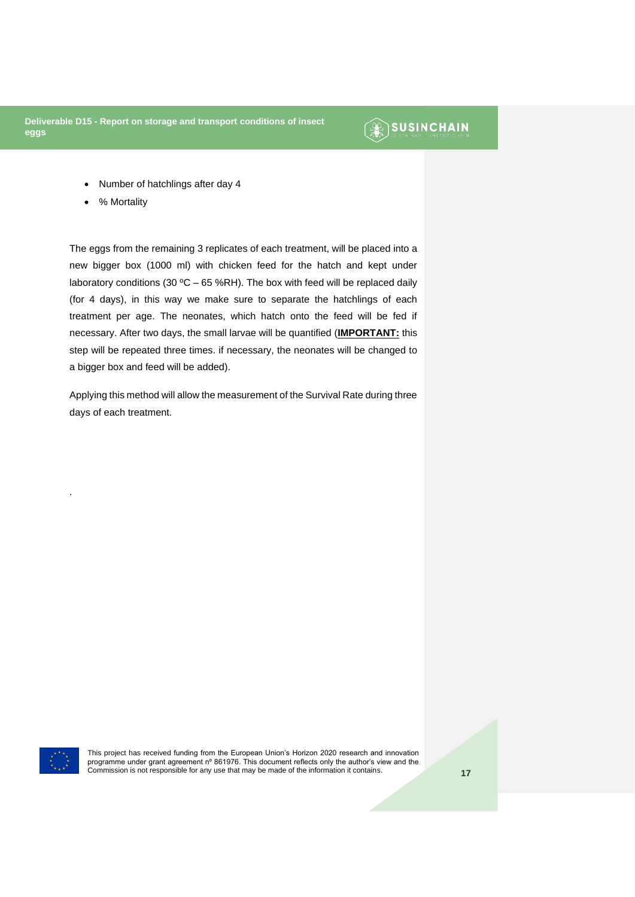### $\circledR$  SUSINCHAIN

- Number of hatchlings after day 4
- % Mortality

The eggs from the remaining 3 replicates of each treatment, will be placed into a new bigger box (1000 ml) with chicken feed for the hatch and kept under laboratory conditions (30 °C – 65 %RH). The box with feed will be replaced daily (for 4 days), in this way we make sure to separate the hatchlings of each treatment per age. The neonates, which hatch onto the feed will be fed if necessary. After two days, the small larvae will be quantified (**IMPORTANT:** this step will be repeated three times. if necessary, the neonates will be changed to a bigger box and feed will be added).

Applying this method will allow the measurement of the Survival Rate during three days of each treatment.



.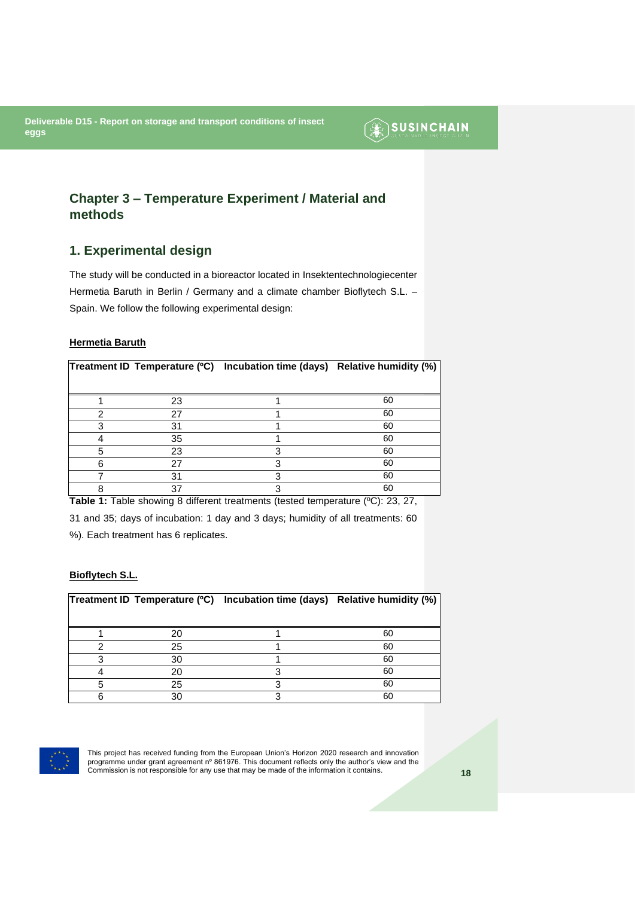SUSINCHAIN

### <span id="page-17-0"></span>**Chapter 3 – Temperature Experiment / Material and methods**

### <span id="page-17-1"></span>**1. Experimental design**

The study will be conducted in a bioreactor located in Insektentechnologiecenter Hermetia Baruth in Berlin / Germany and a climate chamber Bioflytech S.L. – Spain. We follow the following experimental design:

#### **Hermetia Baruth**

|   |    | Treatment ID Temperature (°C) Incubation time (days) Relative humidity (%) |    |
|---|----|----------------------------------------------------------------------------|----|
|   |    |                                                                            |    |
|   | 23 |                                                                            | 60 |
|   | 27 |                                                                            | 60 |
|   | 31 |                                                                            | 60 |
|   | 35 |                                                                            | 60 |
| 5 | 23 |                                                                            | 60 |
| հ | 27 |                                                                            | 60 |
|   | 31 |                                                                            | 60 |
| о |    |                                                                            | 60 |

**Table 1:** Table showing 8 different treatments (tested temperature (ºC): 23, 27,

31 and 35; days of incubation: 1 day and 3 days; humidity of all treatments: 60 %). Each treatment has 6 replicates.

#### **Bioflytech S.L.**

|    | Treatment ID Temperature (°C) Incubation time (days) Relative humidity (%) |    |
|----|----------------------------------------------------------------------------|----|
|    |                                                                            |    |
| 20 |                                                                            | 60 |
| 25 |                                                                            | 60 |
| 30 |                                                                            | 60 |
| 20 |                                                                            | 60 |
| 25 |                                                                            | 60 |
|    |                                                                            | 60 |

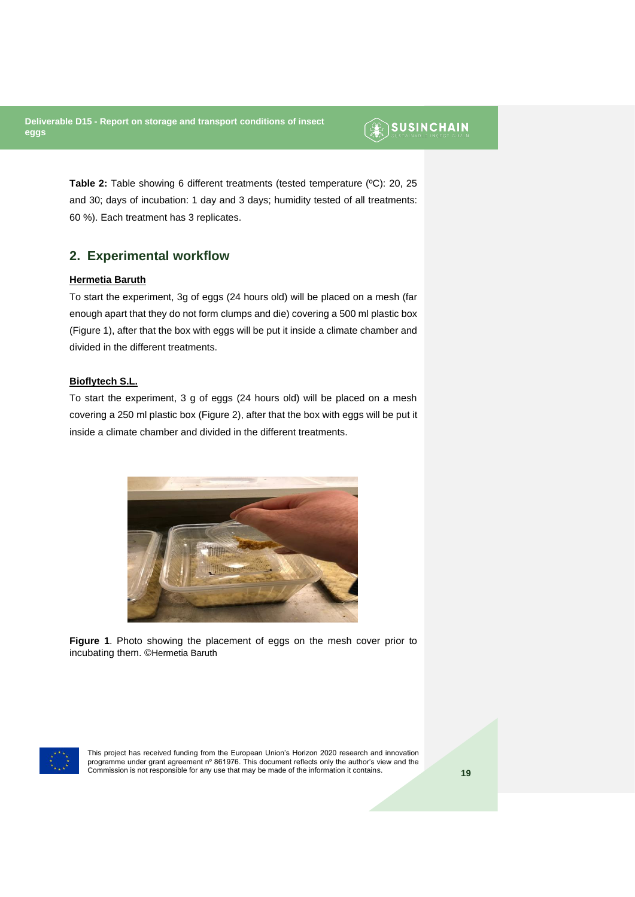### **SUSINCHAIN**

**Table 2:** Table showing 6 different treatments (tested temperature (ºC): 20, 25 and 30; days of incubation: 1 day and 3 days; humidity tested of all treatments: 60 %). Each treatment has 3 replicates.

#### <span id="page-18-0"></span>**2. Experimental workflow**

#### **Hermetia Baruth**

To start the experiment, 3g of eggs (24 hours old) will be placed on a mesh (far enough apart that they do not form clumps and die) covering a 500 ml plastic box (Figure 1), after that the box with eggs will be put it inside a climate chamber and divided in the different treatments.

#### **Bioflytech S.L.**

To start the experiment, 3 g of eggs (24 hours old) will be placed on a mesh covering a 250 ml plastic box (Figure 2), after that the box with eggs will be put it inside a climate chamber and divided in the different treatments.



**Figure 1**. Photo showing the placement of eggs on the mesh cover prior to incubating them. ©Hermetia Baruth

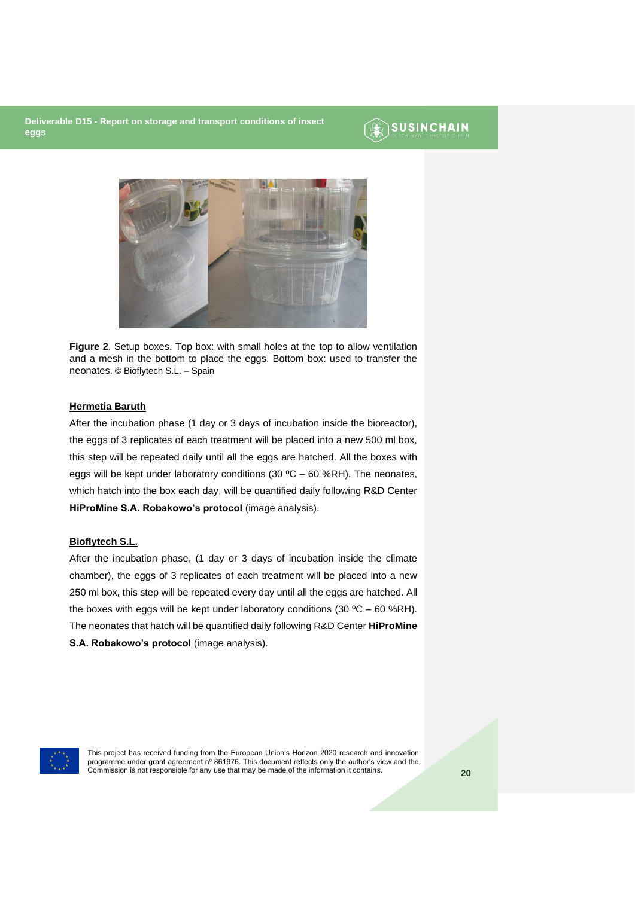### **SUSINCHAIN**



**Figure 2**. Setup boxes. Top box: with small holes at the top to allow ventilation and a mesh in the bottom to place the eggs. Bottom box: used to transfer the neonates. © Bioflytech S.L. – Spain

#### **Hermetia Baruth**

After the incubation phase (1 day or 3 days of incubation inside the bioreactor), the eggs of 3 replicates of each treatment will be placed into a new 500 ml box, this step will be repeated daily until all the eggs are hatched. All the boxes with eggs will be kept under laboratory conditions (30  $^{\circ}$ C – 60 %RH). The neonates, which hatch into the box each day, will be quantified daily following R&D Center **HiProMine S.A. Robakowo's protocol** (image analysis).

#### **Bioflytech S.L.**

After the incubation phase, (1 day or 3 days of incubation inside the climate chamber), the eggs of 3 replicates of each treatment will be placed into a new 250 ml box, this step will be repeated every day until all the eggs are hatched. All the boxes with eggs will be kept under laboratory conditions (30  $^{\circ}$ C – 60 %RH). The neonates that hatch will be quantified daily following R&D Center **HiProMine S.A. Robakowo's protocol** (image analysis).

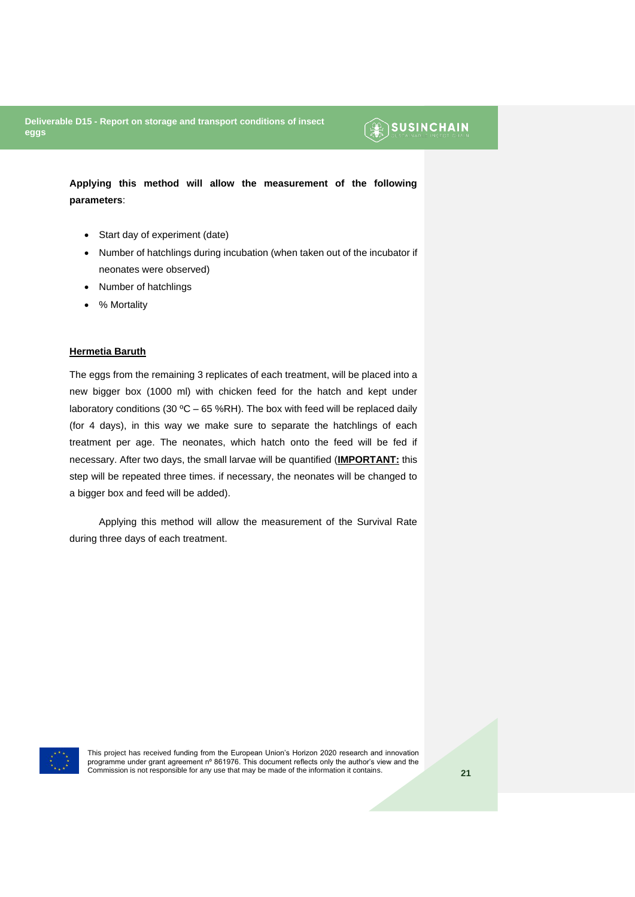## $\circledR$  SUSINCHAIN

**Applying this method will allow the measurement of the following parameters**:

- Start day of experiment (date)
- Number of hatchlings during incubation (when taken out of the incubator if neonates were observed)
- Number of hatchlings
- % Mortality

#### **Hermetia Baruth**

The eggs from the remaining 3 replicates of each treatment, will be placed into a new bigger box (1000 ml) with chicken feed for the hatch and kept under laboratory conditions (30 °C – 65 %RH). The box with feed will be replaced daily (for 4 days), in this way we make sure to separate the hatchlings of each treatment per age. The neonates, which hatch onto the feed will be fed if necessary. After two days, the small larvae will be quantified (**IMPORTANT:** this step will be repeated three times. if necessary, the neonates will be changed to a bigger box and feed will be added).

Applying this method will allow the measurement of the Survival Rate during three days of each treatment.

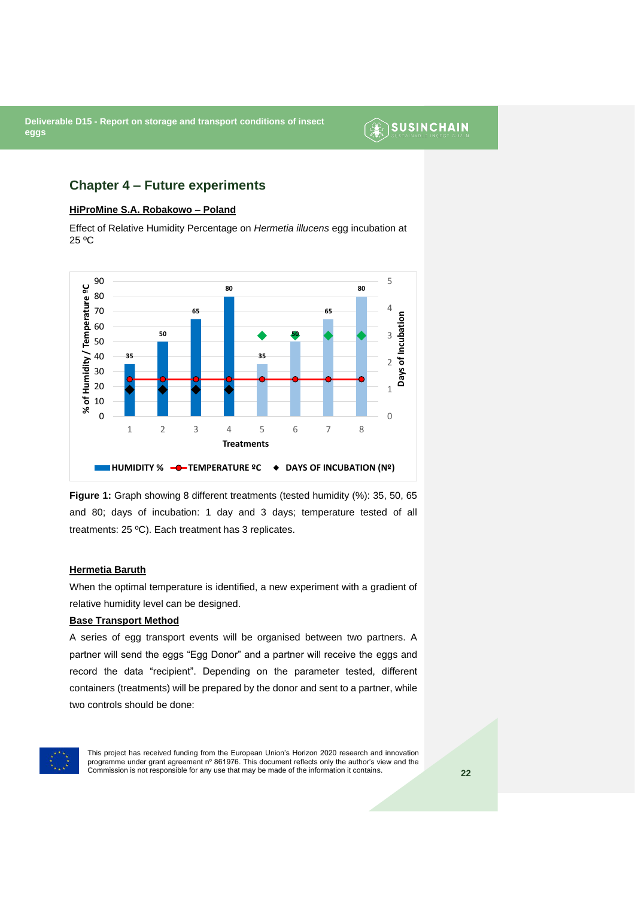### **SUSINCHAIN**

#### <span id="page-21-0"></span>**Chapter 4 – Future experiments**

#### **HiProMine S.A. Robakowo – Poland**

Effect of Relative Humidity Percentage on *Hermetia illucens* egg incubation at 25 ºC



**Figure 1:** Graph showing 8 different treatments (tested humidity (%): 35, 50, 65 and 80; days of incubation: 1 day and 3 days; temperature tested of all treatments: 25 ºC). Each treatment has 3 replicates.

#### **Hermetia Baruth**

When the optimal temperature is identified, a new experiment with a gradient of relative humidity level can be designed.

#### **Base Transport Method**

A series of egg transport events will be organised between two partners. A partner will send the eggs "Egg Donor" and a partner will receive the eggs and record the data "recipient". Depending on the parameter tested, different containers (treatments) will be prepared by the donor and sent to a partner, while two controls should be done:

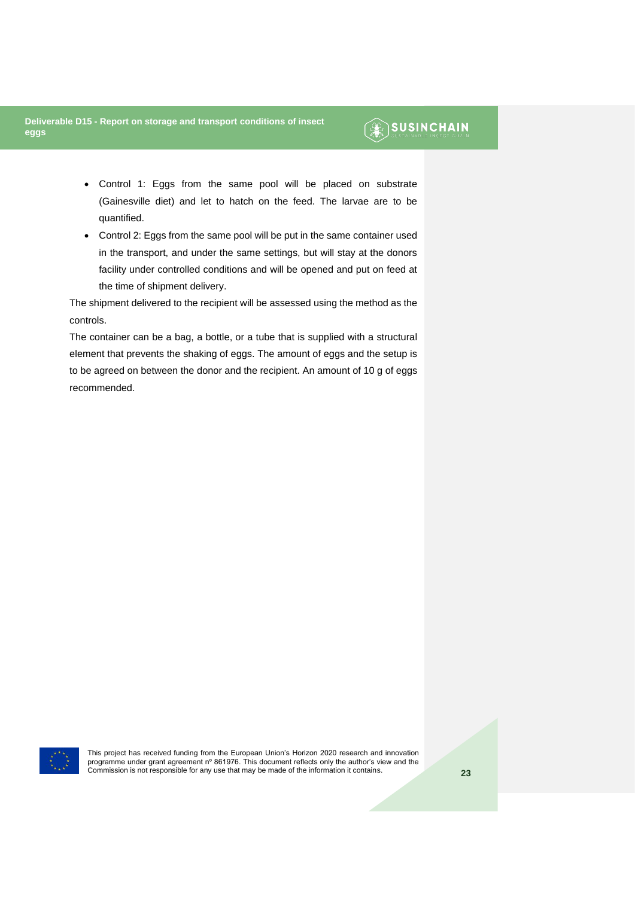### **SUSINCHAIN**

- Control 1: Eggs from the same pool will be placed on substrate (Gainesville diet) and let to hatch on the feed. The larvae are to be quantified.
- Control 2: Eggs from the same pool will be put in the same container used in the transport, and under the same settings, but will stay at the donors facility under controlled conditions and will be opened and put on feed at the time of shipment delivery.

The shipment delivered to the recipient will be assessed using the method as the controls.

The container can be a bag, a bottle, or a tube that is supplied with a structural element that prevents the shaking of eggs. The amount of eggs and the setup is to be agreed on between the donor and the recipient. An amount of 10 g of eggs recommended.

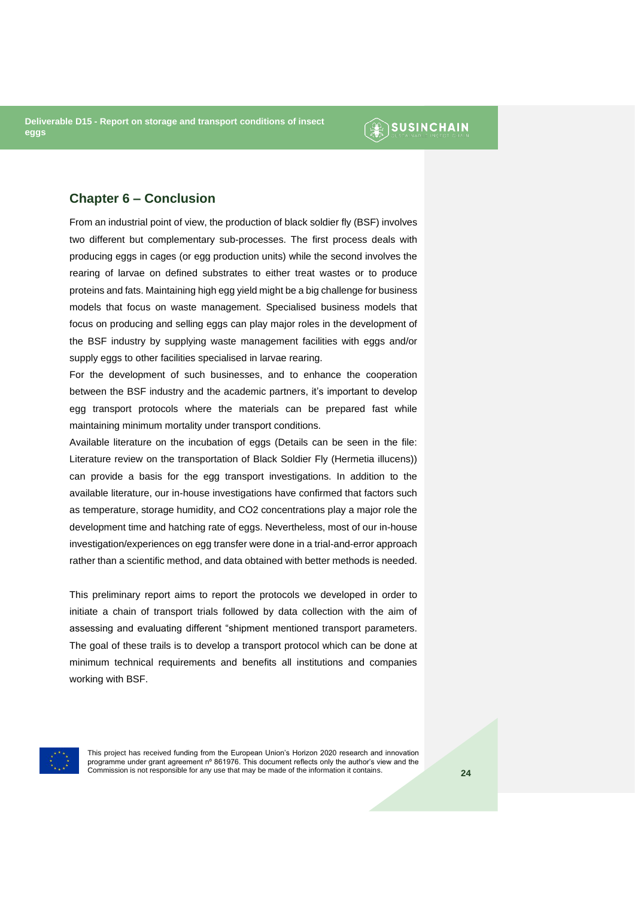### **SUSINCHAIN**

#### <span id="page-23-0"></span>**Chapter 6 – Conclusion**

From an industrial point of view, the production of black soldier fly (BSF) involves two different but complementary sub-processes. The first process deals with producing eggs in cages (or egg production units) while the second involves the rearing of larvae on defined substrates to either treat wastes or to produce proteins and fats. Maintaining high egg yield might be a big challenge for business models that focus on waste management. Specialised business models that focus on producing and selling eggs can play major roles in the development of the BSF industry by supplying waste management facilities with eggs and/or supply eggs to other facilities specialised in larvae rearing.

For the development of such businesses, and to enhance the cooperation between the BSF industry and the academic partners, it's important to develop egg transport protocols where the materials can be prepared fast while maintaining minimum mortality under transport conditions.

Available literature on the incubation of eggs (Details can be seen in the file: Literature review on the transportation of Black Soldier Fly (Hermetia illucens)) can provide a basis for the egg transport investigations. In addition to the available literature, our in-house investigations have confirmed that factors such as temperature, storage humidity, and CO2 concentrations play a major role the development time and hatching rate of eggs. Nevertheless, most of our in-house investigation/experiences on egg transfer were done in a trial-and-error approach rather than a scientific method, and data obtained with better methods is needed.

This preliminary report aims to report the protocols we developed in order to initiate a chain of transport trials followed by data collection with the aim of assessing and evaluating different "shipment mentioned transport parameters. The goal of these trails is to develop a transport protocol which can be done at minimum technical requirements and benefits all institutions and companies working with BSF.

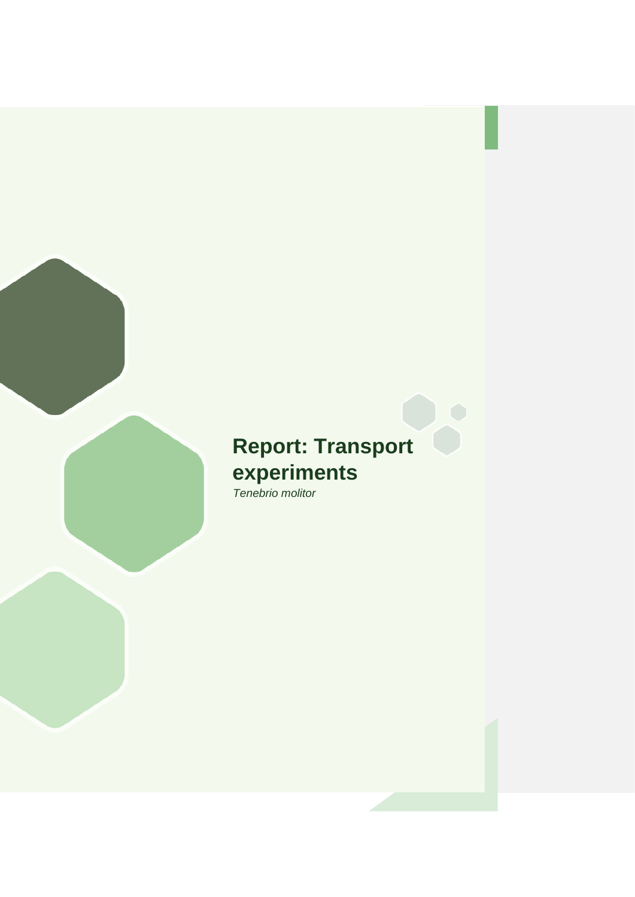## **Report: Transport experiments** *Tenebrio molitor*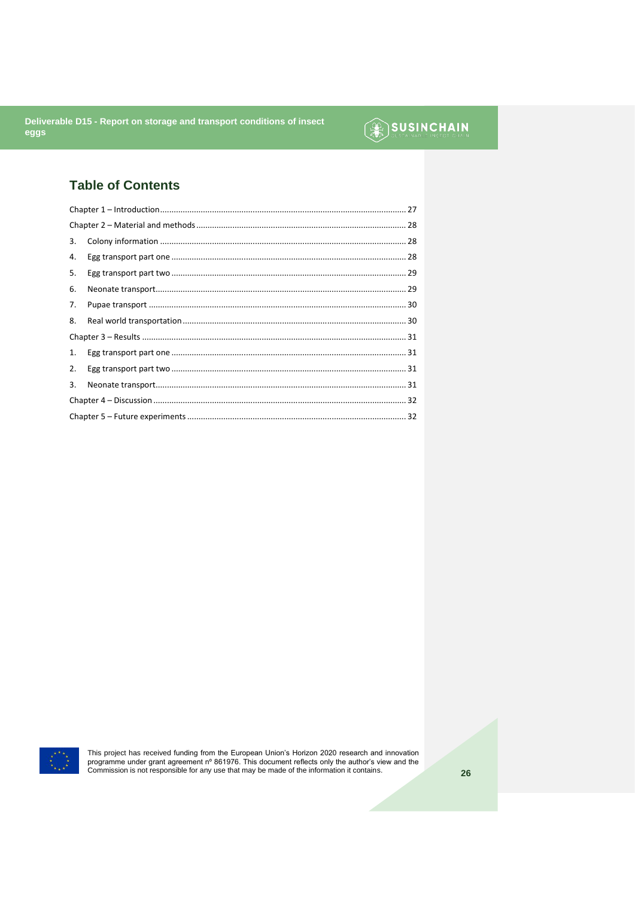## **SUSINCHAIN**

### **Table of Contents**

| 3. |  |  |
|----|--|--|
| 4. |  |  |
| 5. |  |  |
| 6. |  |  |
| 7. |  |  |
| 8. |  |  |
|    |  |  |
| 1. |  |  |
| 2. |  |  |
| 3. |  |  |
|    |  |  |
|    |  |  |



This project has received funding from the European Union's Horizon 2020 research and innovation programme under grant agreement n° 861976. This document reflects only the author's view and the Commission is not responsib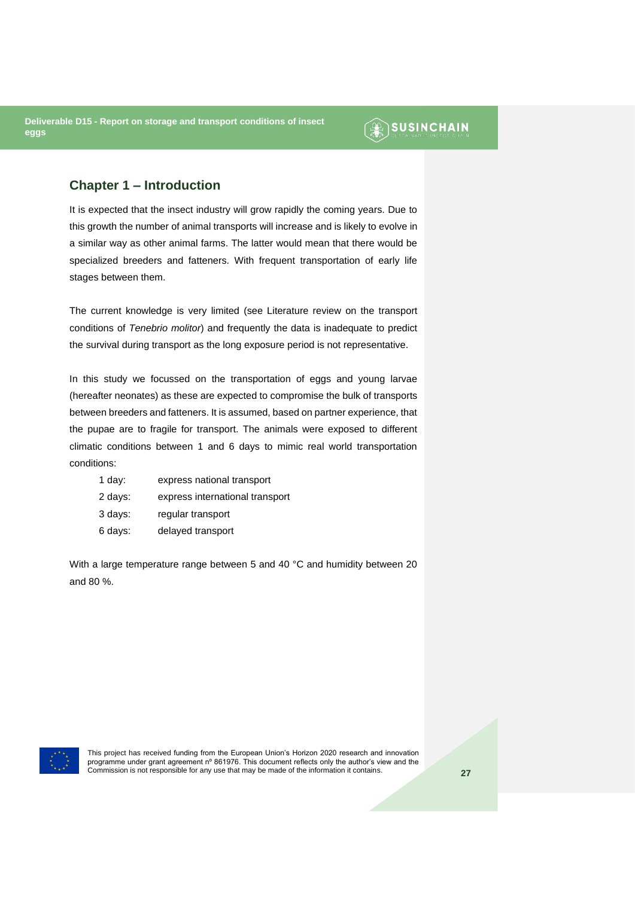### **SUSINCHAIN**

#### <span id="page-26-0"></span>**Chapter 1 – Introduction**

It is expected that the insect industry will grow rapidly the coming years. Due to this growth the number of animal transports will increase and is likely to evolve in a similar way as other animal farms. The latter would mean that there would be specialized breeders and fatteners. With frequent transportation of early life stages between them.

The current knowledge is very limited (see Literature review on the transport conditions of *Tenebrio molitor*) and frequently the data is inadequate to predict the survival during transport as the long exposure period is not representative.

In this study we focussed on the transportation of eggs and young larvae (hereafter neonates) as these are expected to compromise the bulk of transports between breeders and fatteners. It is assumed, based on partner experience, that the pupae are to fragile for transport. The animals were exposed to different climatic conditions between 1 and 6 days to mimic real world transportation conditions:

| 1 day:  | express national transport      |
|---------|---------------------------------|
| 2 days: | express international transport |
| 3 days: | regular transport               |
| 6 days: | delayed transport               |

With a large temperature range between 5 and 40 °C and humidity between 20 and 80 %.

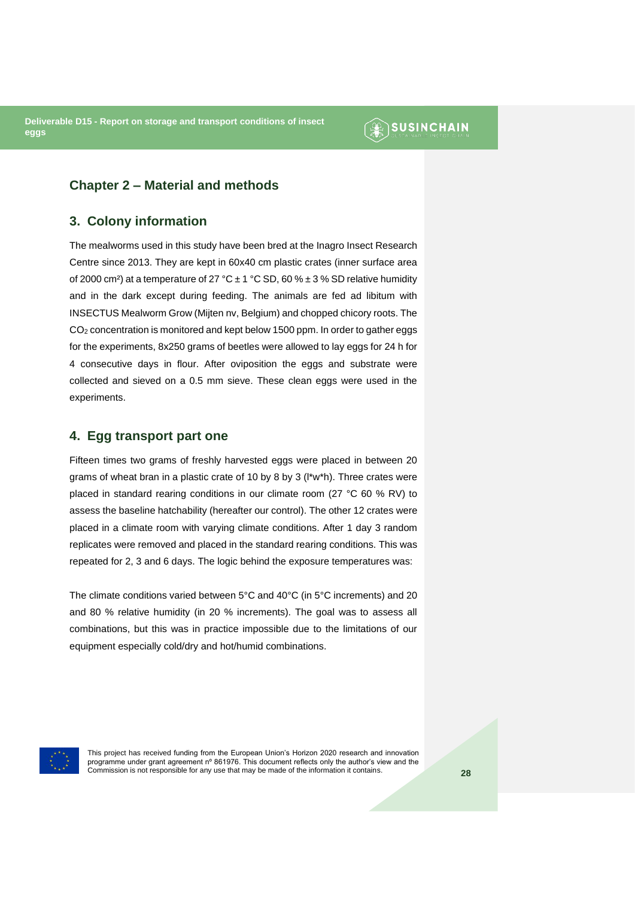### **SUSINCHAIN**

#### <span id="page-27-0"></span>**Chapter 2 – Material and methods**

#### <span id="page-27-1"></span>**3. Colony information**

The mealworms used in this study have been bred at the Inagro Insect Research Centre since 2013. They are kept in 60x40 cm plastic crates (inner surface area of 2000 cm<sup>2</sup>) at a temperature of 27 °C  $\pm$  1 °C SD, 60 %  $\pm$  3 % SD relative humidity and in the dark except during feeding. The animals are fed ad libitum with INSECTUS Mealworm Grow (Mijten nv, Belgium) and chopped chicory roots. The CO<sup>2</sup> concentration is monitored and kept below 1500 ppm. In order to gather eggs for the experiments, 8x250 grams of beetles were allowed to lay eggs for 24 h for 4 consecutive days in flour. After oviposition the eggs and substrate were collected and sieved on a 0.5 mm sieve. These clean eggs were used in the experiments.

#### <span id="page-27-2"></span>**4. Egg transport part one**

Fifteen times two grams of freshly harvested eggs were placed in between 20 grams of wheat bran in a plastic crate of 10 by 8 by 3 (l\*w\*h). Three crates were placed in standard rearing conditions in our climate room (27 °C 60 % RV) to assess the baseline hatchability (hereafter our control). The other 12 crates were placed in a climate room with varying climate conditions. After 1 day 3 random replicates were removed and placed in the standard rearing conditions. This was repeated for 2, 3 and 6 days. The logic behind the exposure temperatures was:

The climate conditions varied between 5°C and 40°C (in 5°C increments) and 20 and 80 % relative humidity (in 20 % increments). The goal was to assess all combinations, but this was in practice impossible due to the limitations of our equipment especially cold/dry and hot/humid combinations.

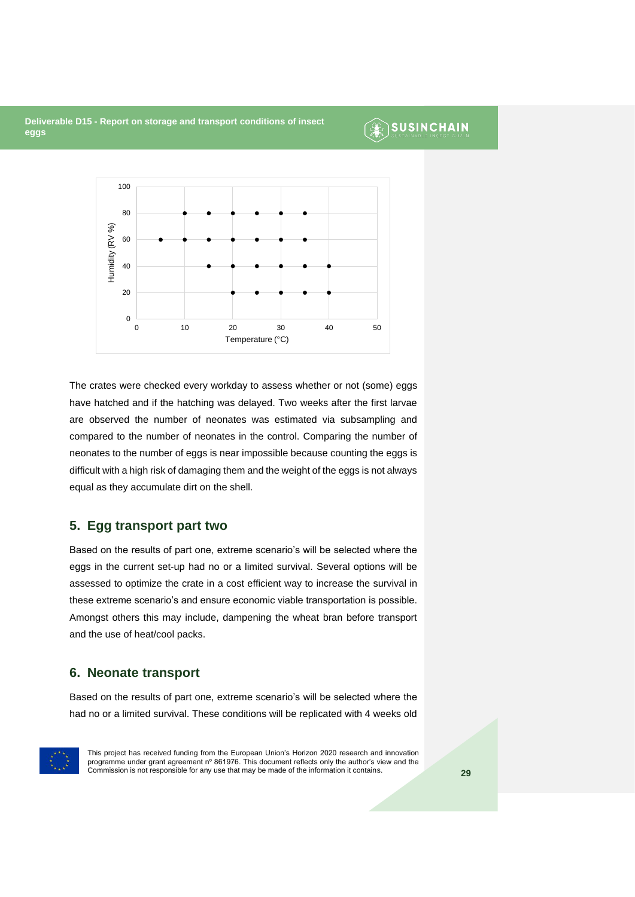### **SUSINCHAIN**



The crates were checked every workday to assess whether or not (some) eggs have hatched and if the hatching was delayed. Two weeks after the first larvae are observed the number of neonates was estimated via subsampling and compared to the number of neonates in the control. Comparing the number of neonates to the number of eggs is near impossible because counting the eggs is difficult with a high risk of damaging them and the weight of the eggs is not always equal as they accumulate dirt on the shell.

#### <span id="page-28-0"></span>**5. Egg transport part two**

Based on the results of part one, extreme scenario's will be selected where the eggs in the current set-up had no or a limited survival. Several options will be assessed to optimize the crate in a cost efficient way to increase the survival in these extreme scenario's and ensure economic viable transportation is possible. Amongst others this may include, dampening the wheat bran before transport and the use of heat/cool packs.

#### <span id="page-28-1"></span>**6. Neonate transport**

Based on the results of part one, extreme scenario's will be selected where the had no or a limited survival. These conditions will be replicated with 4 weeks old

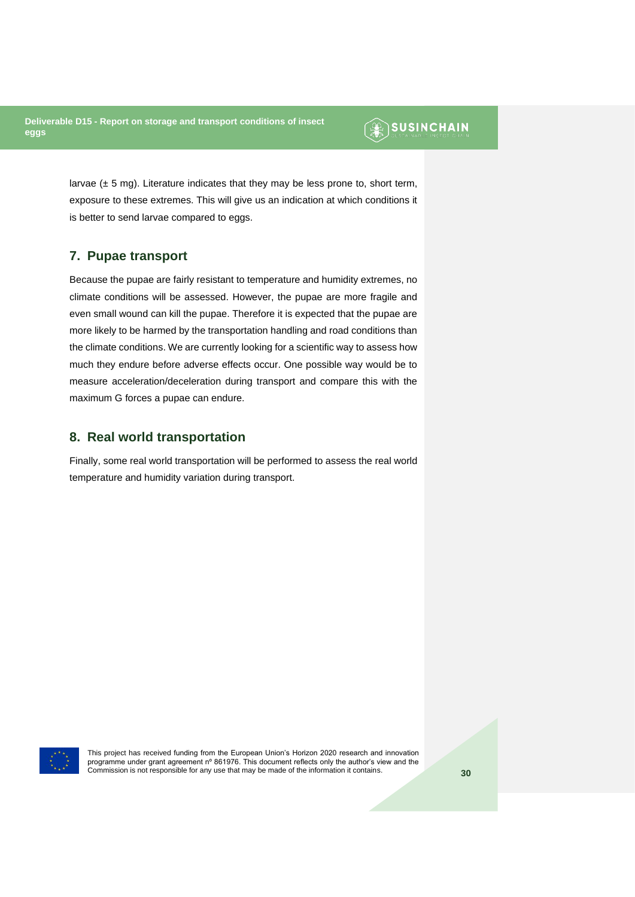### SUSINCHAIN

larvae  $(\pm 5 \text{ mg})$ . Literature indicates that they may be less prone to, short term, exposure to these extremes. This will give us an indication at which conditions it is better to send larvae compared to eggs.

#### <span id="page-29-0"></span>**7. Pupae transport**

Because the pupae are fairly resistant to temperature and humidity extremes, no climate conditions will be assessed. However, the pupae are more fragile and even small wound can kill the pupae. Therefore it is expected that the pupae are more likely to be harmed by the transportation handling and road conditions than the climate conditions. We are currently looking for a scientific way to assess how much they endure before adverse effects occur. One possible way would be to measure acceleration/deceleration during transport and compare this with the maximum G forces a pupae can endure.

#### <span id="page-29-1"></span>**8. Real world transportation**

Finally, some real world transportation will be performed to assess the real world temperature and humidity variation during transport.

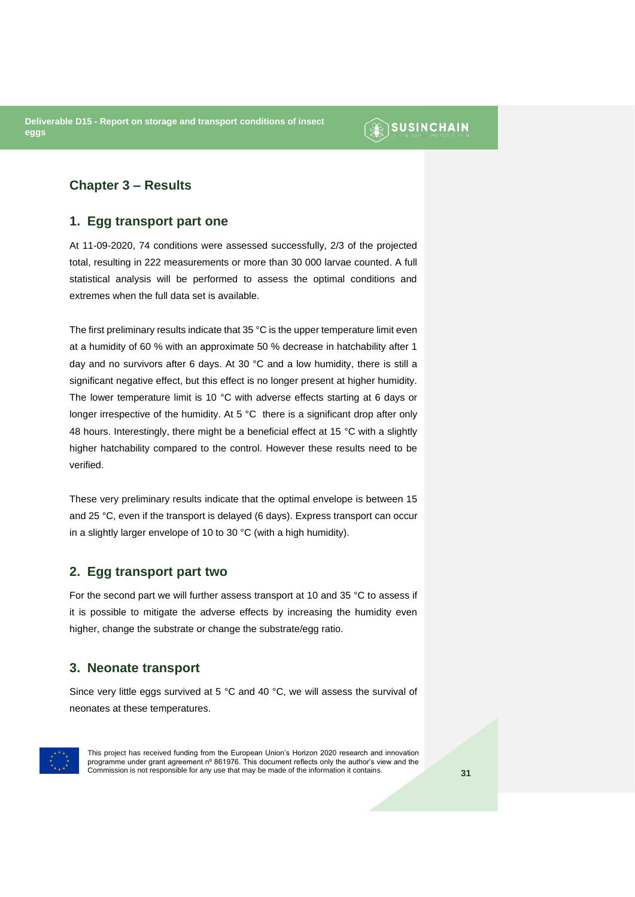### $\circledR$  SUSINCHAIN

#### <span id="page-30-0"></span>**Chapter 3 – Results**

#### <span id="page-30-1"></span>**1. Egg transport part one**

At 11-09-2020, 74 conditions were assessed successfully, 2/3 of the projected total, resulting in 222 measurements or more than 30 000 larvae counted. A full statistical analysis will be performed to assess the optimal conditions and extremes when the full data set is available.

The first preliminary results indicate that 35 °C is the upper temperature limit even at a humidity of 60 % with an approximate 50 % decrease in hatchability after 1 day and no survivors after 6 days. At 30 °C and a low humidity, there is still a significant negative effect, but this effect is no longer present at higher humidity. The lower temperature limit is 10 °C with adverse effects starting at 6 days or longer irrespective of the humidity. At 5 °C there is a significant drop after only 48 hours. Interestingly, there might be a beneficial effect at 15 °C with a slightly higher hatchability compared to the control. However these results need to be verified.

These very preliminary results indicate that the optimal envelope is between 15 and 25 °C, even if the transport is delayed (6 days). Express transport can occur in a slightly larger envelope of 10 to 30 °C (with a high humidity).

#### <span id="page-30-2"></span>**2. Egg transport part two**

For the second part we will further assess transport at 10 and 35 °C to assess if it is possible to mitigate the adverse effects by increasing the humidity even higher, change the substrate or change the substrate/egg ratio.

#### <span id="page-30-3"></span>**3. Neonate transport**

Since very little eggs survived at 5 °C and 40 °C, we will assess the survival of neonates at these temperatures.

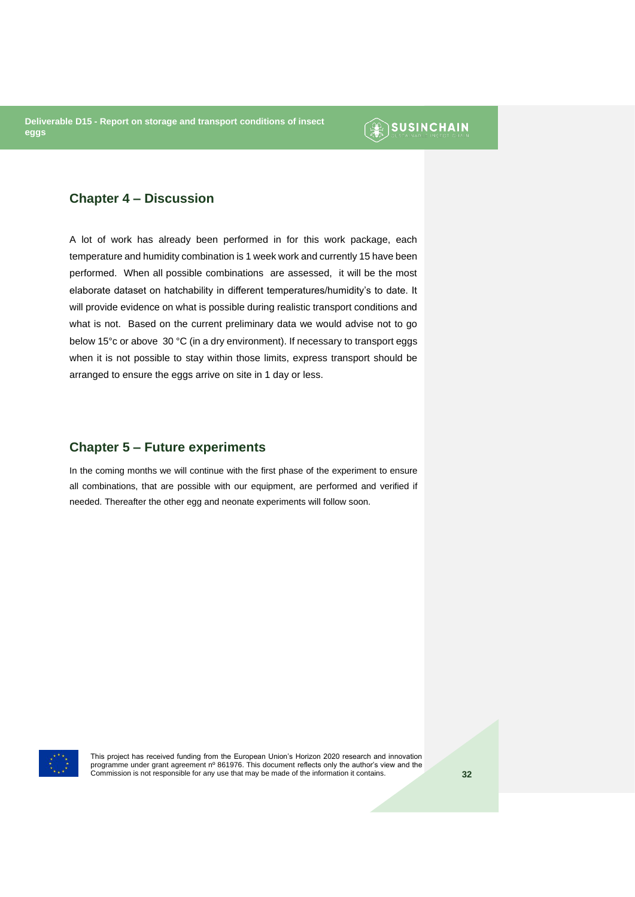### $\circledR$  SUSINCHAIN

#### <span id="page-31-0"></span>**Chapter 4 – Discussion**

A lot of work has already been performed in for this work package, each temperature and humidity combination is 1 week work and currently 15 have been performed. When all possible combinations are assessed, it will be the most elaborate dataset on hatchability in different temperatures/humidity's to date. It will provide evidence on what is possible during realistic transport conditions and what is not. Based on the current preliminary data we would advise not to go below 15°c or above 30 °C (in a dry environment). If necessary to transport eggs when it is not possible to stay within those limits, express transport should be arranged to ensure the eggs arrive on site in 1 day or less.

#### <span id="page-31-1"></span>**Chapter 5 – Future experiments**

In the coming months we will continue with the first phase of the experiment to ensure all combinations, that are possible with our equipment, are performed and verified if needed. Thereafter the other egg and neonate experiments will follow soon.